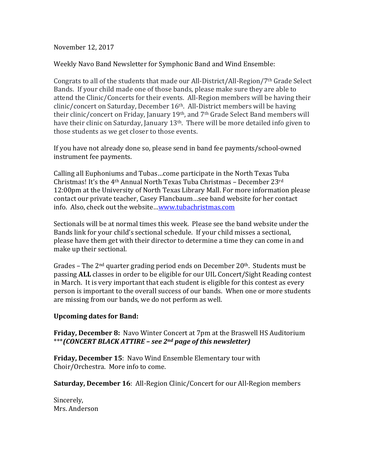November 12, 2017

Weekly Navo Band Newsletter for Symphonic Band and Wind Ensemble:

Congrats to all of the students that made our All-District/All-Region/7th Grade Select Bands. If your child made one of those bands, please make sure they are able to attend the Clinic/Concerts for their events. All-Region members will be having their clinic/concert on Saturday, December 16<sup>th</sup>. All-District members will be having their clinic/concert on Friday, January  $19<sup>th</sup>$ , and  $7<sup>th</sup>$  Grade Select Band members will have their clinic on Saturday, January  $13<sup>th</sup>$ . There will be more detailed info given to those students as we get closer to those events.

If you have not already done so, please send in band fee payments/school-owned instrument fee payments.

Calling all Euphoniums and Tubas...come participate in the North Texas Tuba Christmas! It's the 4<sup>th</sup> Annual North Texas Tuba Christmas - December 23<sup>rd</sup> 12:00pm at the University of North Texas Library Mall. For more information please contact our private teacher, Casey Flancbaum...see band website for her contact info. Also, check out the website...www.tubachristmas.com

Sectionals will be at normal times this week. Please see the band website under the Bands link for your child's sectional schedule. If your child misses a sectional, please have them get with their director to determine a time they can come in and make up their sectional.

Grades – The  $2<sup>nd</sup>$  quarter grading period ends on December  $20<sup>th</sup>$ . Students must be passing **ALL** classes in order to be eligible for our UIL Concert/Sight Reading contest in March. It is very important that each student is eligible for this contest as every person is important to the overall success of our bands. When one or more students are missing from our bands, we do not perform as well.

## **Upcoming dates for Band:**

**Friday, December 8:** Navo Winter Concert at 7pm at the Braswell HS Auditorium \*\*\**(CONCERT BLACK ATTIRE – see 2nd page of this newsletter)*

**Friday, December 15:** Navo Wind Ensemble Elementary tour with Choir/Orchestra. More info to come.

**Saturday, December 16:** All-Region Clinic/Concert for our All-Region members

Sincerely, Mrs. Anderson